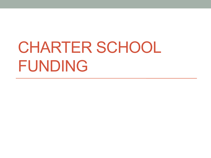# CHARTER SCHOOL FUNDING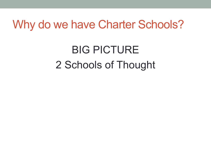#### Why do we have Charter Schools?

# BIG PICTURE 2 Schools of Thought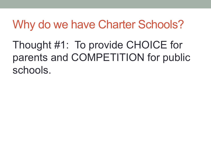### Why do we have Charter Schools?

Thought #1: To provide CHOICE for parents and COMPETITION for public schools.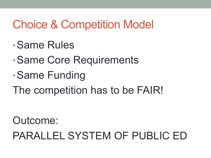## Choice & Competition Model

- •Same Rules
- •Same Core Requirements
- •Same Funding
- The competition has to be FAIR!

Outcome: PARALLEL SYSTEM OF PUBLIC ED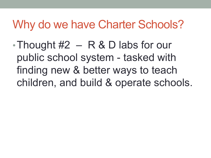#### Why do we have Charter Schools?

•Thought  $#2 - R & D$  labs for our public school system - tasked with finding new & better ways to teach children, and build & operate schools.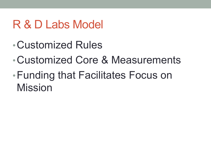# R & D Labs Model

- •Customized Rules
- •Customized Core & Measurements
- •Funding that Facilitates Focus on Mission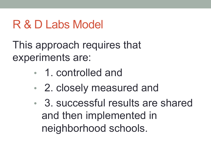# R & D Labs Model

This approach requires that experiments are:

- 1. controlled and
- 2. closely measured and
- 3. successful results are shared and then implemented in neighborhood schools.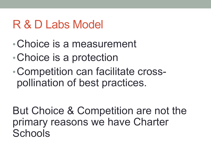### R & D Labs Model

- •Choice is a measurement
- •Choice is a protection
- •Competition can facilitate crosspollination of best practices.

But Choice & Competition are not the primary reasons we have Charter **Schools**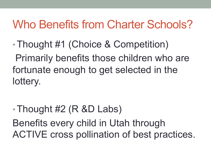### Who Benefits from Charter Schools?

- •Thought #1 (Choice & Competition) Primarily benefits those children who are fortunate enough to get selected in the lottery.
- •Thought #2 (R &D Labs) Benefits every child in Utah through ACTIVE cross pollination of best practices.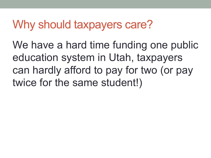### Why should taxpayers care?

We have a hard time funding one public education system in Utah, taxpayers can hardly afford to pay for two (or pay twice for the same student!)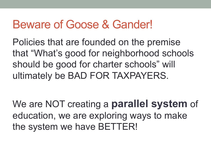#### Beware of Goose & Gander!

Policies that are founded on the premise that "What's good for neighborhood schools should be good for charter schools" will ultimately be BAD FOR TAXPAYERS.

We are NOT creating a **parallel system** of education, we are exploring ways to make the system we have BETTER!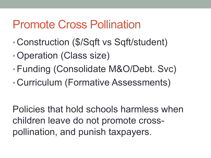#### Promote Cross Pollination

- Construction (\$/Sqft vs Sqft/student)
- •Operation (Class size)
- •Funding (Consolidate M&O/Debt. Svc)
- Curriculum (Formative Assessments)

Policies that hold schools harmless when children leave do not promote crosspollination, and punish taxpayers.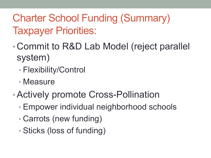#### Charter School Funding (Summary) Taxpayer Priorities:

- Commit to R&D Lab Model (reject parallel system)
	- Flexibility/Control
	- Measure
- •Actively promote Cross-Pollination
	- Empower individual neighborhood schools
	- Carrots (new funding)
	- Sticks (loss of funding)